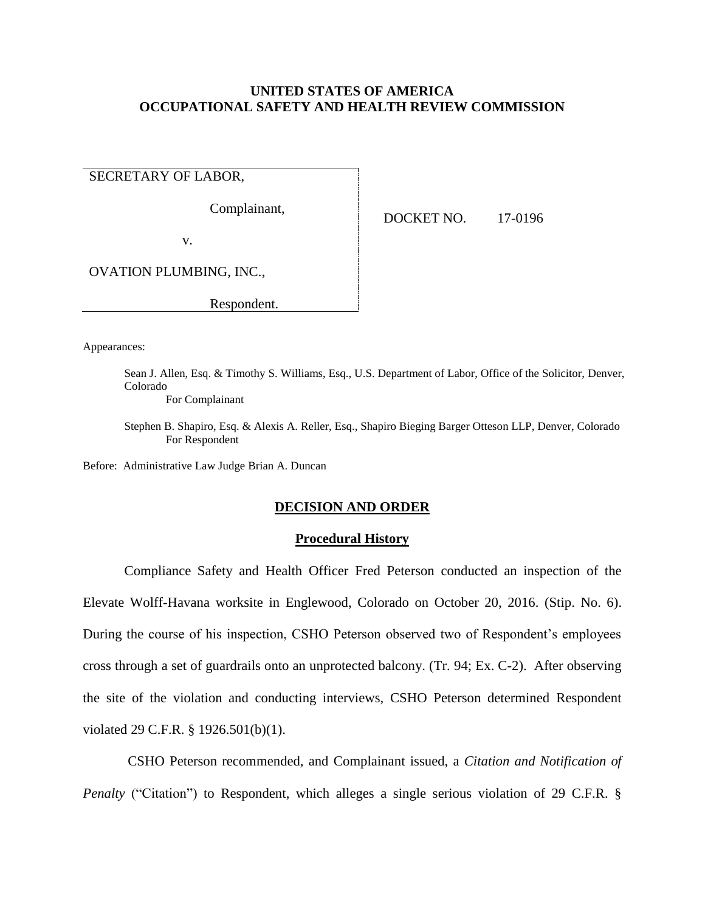## **UNITED STATES OF AMERICA OCCUPATIONAL SAFETY AND HEALTH REVIEW COMMISSION**

SECRETARY OF LABOR,

Complainant,

DOCKET NO. 17-0196

v.

OVATION PLUMBING, INC.,

Respondent.

Appearances:

Sean J. Allen, Esq. & Timothy S. Williams, Esq., U.S. Department of Labor, Office of the Solicitor, Denver, Colorado

For Complainant

Stephen B. Shapiro, Esq. & Alexis A. Reller, Esq., Shapiro Bieging Barger Otteson LLP, Denver, Colorado For Respondent

Before: Administrative Law Judge Brian A. Duncan

### **DECISION AND ORDER**

### **Procedural History**

Compliance Safety and Health Officer Fred Peterson conducted an inspection of the Elevate Wolff-Havana worksite in Englewood, Colorado on October 20, 2016. (Stip. No. 6). During the course of his inspection, CSHO Peterson observed two of Respondent's employees cross through a set of guardrails onto an unprotected balcony. (Tr. 94; Ex. C-2). After observing the site of the violation and conducting interviews, CSHO Peterson determined Respondent violated 29 C.F.R. § 1926.501(b)(1).

CSHO Peterson recommended, and Complainant issued, a *Citation and Notification of Penalty* ("Citation") to Respondent, which alleges a single serious violation of 29 C.F.R. §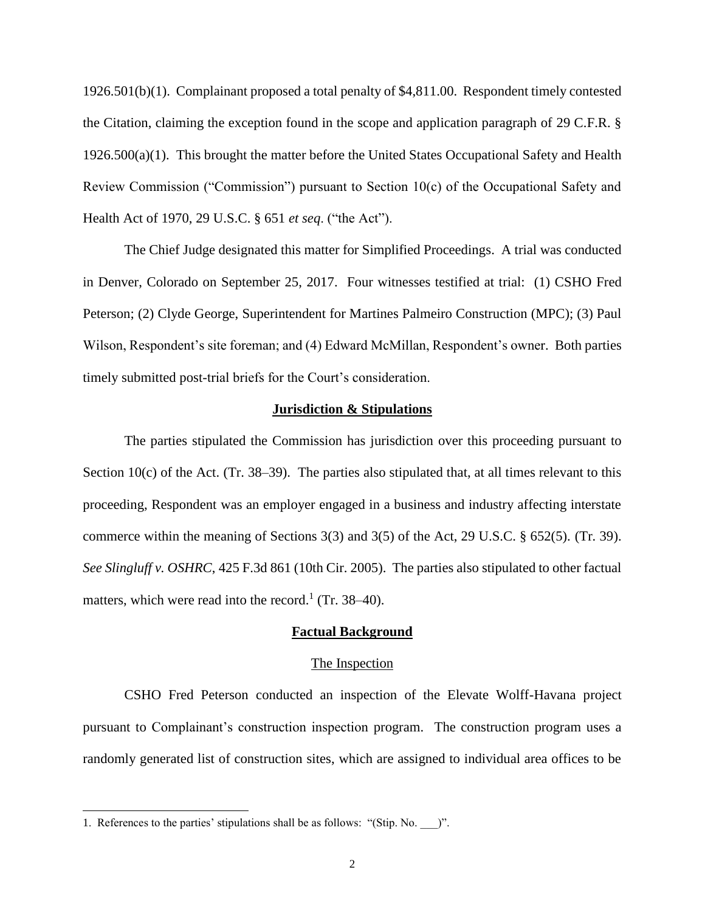1926.501(b)(1). Complainant proposed a total penalty of \$4,811.00. Respondent timely contested the Citation, claiming the exception found in the scope and application paragraph of 29 C.F.R. §  $1926.500(a)(1)$ . This brought the matter before the United States Occupational Safety and Health Review Commission ("Commission") pursuant to Section 10(c) of the Occupational Safety and Health Act of 1970, 29 U.S.C. § 651 *et seq*. ("the Act").

The Chief Judge designated this matter for Simplified Proceedings. A trial was conducted in Denver, Colorado on September 25, 2017. Four witnesses testified at trial: (1) CSHO Fred Peterson; (2) Clyde George, Superintendent for Martines Palmeiro Construction (MPC); (3) Paul Wilson, Respondent's site foreman; and (4) Edward McMillan, Respondent's owner. Both parties timely submitted post-trial briefs for the Court's consideration.

### **Jurisdiction & Stipulations**

The parties stipulated the Commission has jurisdiction over this proceeding pursuant to Section 10(c) of the Act. (Tr.  $38-39$ ). The parties also stipulated that, at all times relevant to this proceeding, Respondent was an employer engaged in a business and industry affecting interstate commerce within the meaning of Sections 3(3) and 3(5) of the Act, 29 U.S.C. § 652(5). (Tr. 39). *See Slingluff v. OSHRC*, 425 F.3d 861 (10th Cir. 2005). The parties also stipulated to other factual matters, which were read into the record.<sup>1</sup> (Tr. 38–40).

#### **Factual Background**

#### The Inspection

CSHO Fred Peterson conducted an inspection of the Elevate Wolff-Havana project pursuant to Complainant's construction inspection program. The construction program uses a randomly generated list of construction sites, which are assigned to individual area offices to be

<sup>1.</sup> References to the parties' stipulations shall be as follows: "(Stip. No. )".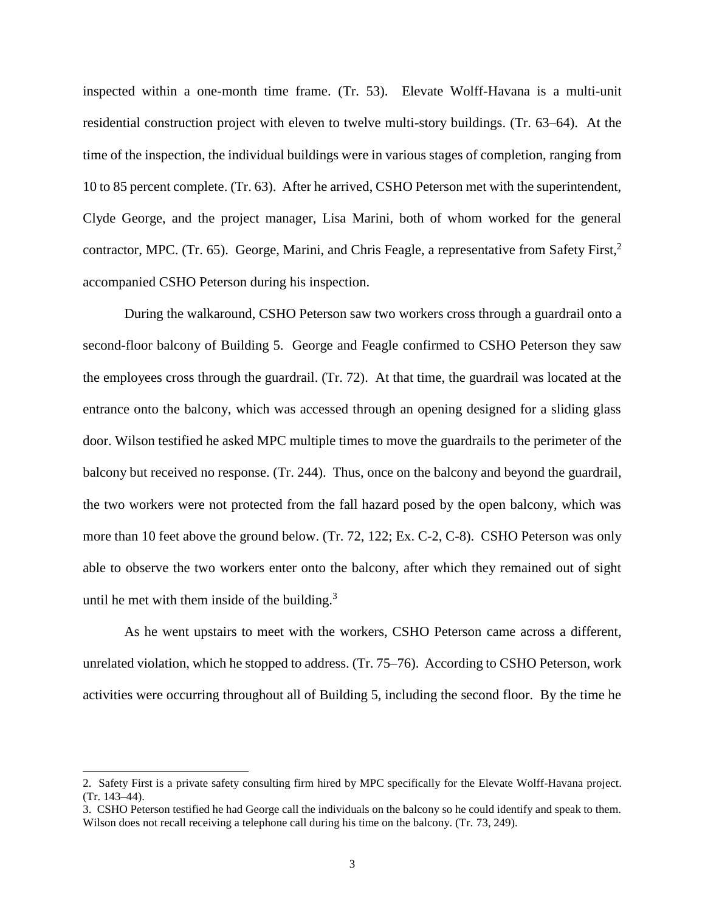inspected within a one-month time frame. (Tr. 53). Elevate Wolff-Havana is a multi-unit residential construction project with eleven to twelve multi-story buildings. (Tr. 63–64). At the time of the inspection, the individual buildings were in various stages of completion, ranging from 10 to 85 percent complete. (Tr. 63). After he arrived, CSHO Peterson met with the superintendent, Clyde George, and the project manager, Lisa Marini, both of whom worked for the general contractor, MPC. (Tr. 65). George, Marini, and Chris Feagle, a representative from Safety First,<sup>2</sup> accompanied CSHO Peterson during his inspection.

During the walkaround, CSHO Peterson saw two workers cross through a guardrail onto a second-floor balcony of Building 5. George and Feagle confirmed to CSHO Peterson they saw the employees cross through the guardrail. (Tr. 72). At that time, the guardrail was located at the entrance onto the balcony, which was accessed through an opening designed for a sliding glass door. Wilson testified he asked MPC multiple times to move the guardrails to the perimeter of the balcony but received no response. (Tr. 244). Thus, once on the balcony and beyond the guardrail, the two workers were not protected from the fall hazard posed by the open balcony, which was more than 10 feet above the ground below. (Tr. 72, 122; Ex. C-2, C-8). CSHO Peterson was only able to observe the two workers enter onto the balcony, after which they remained out of sight until he met with them inside of the building. $3$ 

As he went upstairs to meet with the workers, CSHO Peterson came across a different, unrelated violation, which he stopped to address. (Tr. 75–76). According to CSHO Peterson, work activities were occurring throughout all of Building 5, including the second floor. By the time he

<sup>2.</sup> Safety First is a private safety consulting firm hired by MPC specifically for the Elevate Wolff-Havana project. (Tr. 143–44).

<sup>3.</sup> CSHO Peterson testified he had George call the individuals on the balcony so he could identify and speak to them. Wilson does not recall receiving a telephone call during his time on the balcony. (Tr. 73, 249).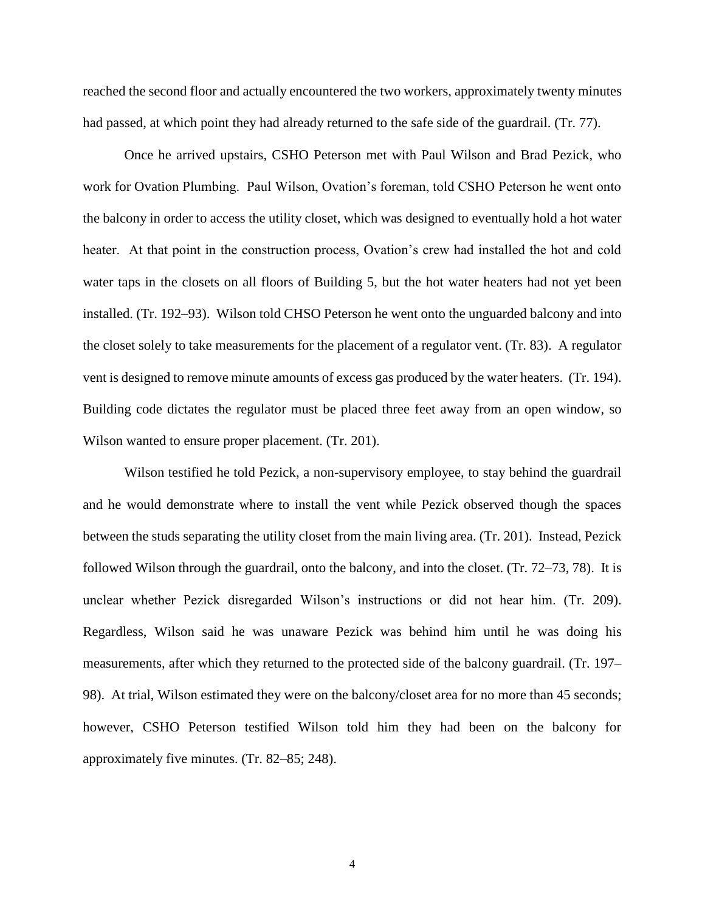reached the second floor and actually encountered the two workers, approximately twenty minutes had passed, at which point they had already returned to the safe side of the guardrail. (Tr. 77).

Once he arrived upstairs, CSHO Peterson met with Paul Wilson and Brad Pezick, who work for Ovation Plumbing. Paul Wilson, Ovation's foreman, told CSHO Peterson he went onto the balcony in order to access the utility closet, which was designed to eventually hold a hot water heater. At that point in the construction process, Ovation's crew had installed the hot and cold water taps in the closets on all floors of Building 5, but the hot water heaters had not yet been installed. (Tr. 192–93). Wilson told CHSO Peterson he went onto the unguarded balcony and into the closet solely to take measurements for the placement of a regulator vent. (Tr. 83). A regulator vent is designed to remove minute amounts of excess gas produced by the water heaters. (Tr. 194). Building code dictates the regulator must be placed three feet away from an open window, so Wilson wanted to ensure proper placement. (Tr. 201).

Wilson testified he told Pezick, a non-supervisory employee, to stay behind the guardrail and he would demonstrate where to install the vent while Pezick observed though the spaces between the studs separating the utility closet from the main living area. (Tr. 201). Instead, Pezick followed Wilson through the guardrail, onto the balcony, and into the closet. (Tr. 72–73, 78). It is unclear whether Pezick disregarded Wilson's instructions or did not hear him. (Tr. 209). Regardless, Wilson said he was unaware Pezick was behind him until he was doing his measurements, after which they returned to the protected side of the balcony guardrail. (Tr. 197– 98). At trial, Wilson estimated they were on the balcony/closet area for no more than 45 seconds; however, CSHO Peterson testified Wilson told him they had been on the balcony for approximately five minutes. (Tr. 82–85; 248).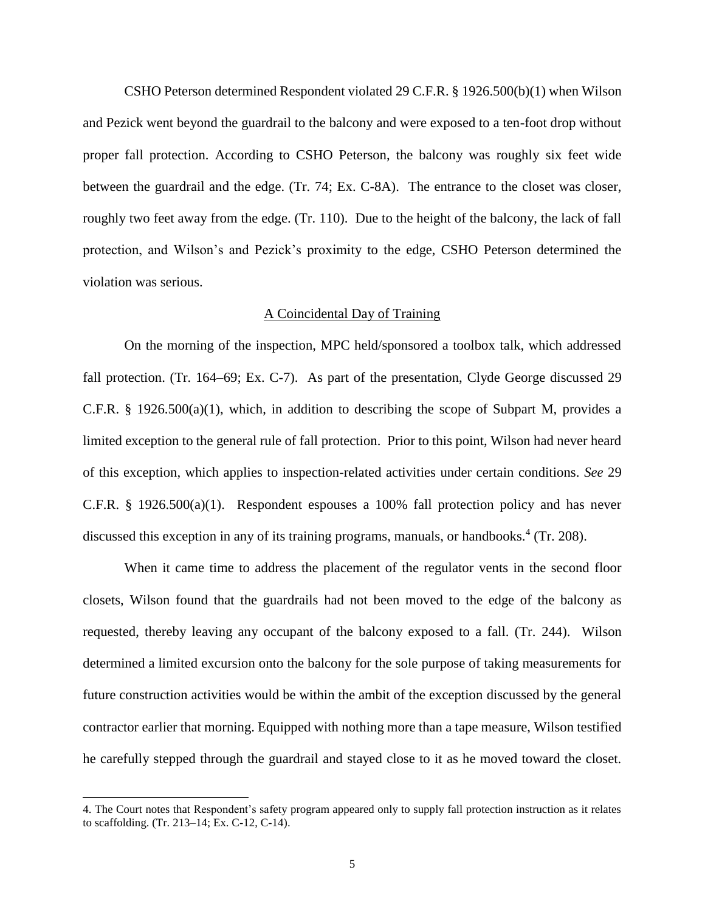CSHO Peterson determined Respondent violated 29 C.F.R. § 1926.500(b)(1) when Wilson and Pezick went beyond the guardrail to the balcony and were exposed to a ten-foot drop without proper fall protection. According to CSHO Peterson, the balcony was roughly six feet wide between the guardrail and the edge. (Tr. 74; Ex. C-8A). The entrance to the closet was closer, roughly two feet away from the edge. (Tr. 110). Due to the height of the balcony, the lack of fall protection, and Wilson's and Pezick's proximity to the edge, CSHO Peterson determined the violation was serious.

### A Coincidental Day of Training

On the morning of the inspection, MPC held/sponsored a toolbox talk, which addressed fall protection. (Tr. 164–69; Ex. C-7). As part of the presentation, Clyde George discussed 29 C.F.R. § 1926.500(a)(1), which, in addition to describing the scope of Subpart M, provides a limited exception to the general rule of fall protection. Prior to this point, Wilson had never heard of this exception, which applies to inspection-related activities under certain conditions. *See* 29 C.F.R. § 1926.500(a)(1). Respondent espouses a 100% fall protection policy and has never discussed this exception in any of its training programs, manuals, or handbooks.<sup>4</sup> (Tr. 208).

When it came time to address the placement of the regulator vents in the second floor closets, Wilson found that the guardrails had not been moved to the edge of the balcony as requested, thereby leaving any occupant of the balcony exposed to a fall. (Tr. 244). Wilson determined a limited excursion onto the balcony for the sole purpose of taking measurements for future construction activities would be within the ambit of the exception discussed by the general contractor earlier that morning. Equipped with nothing more than a tape measure, Wilson testified he carefully stepped through the guardrail and stayed close to it as he moved toward the closet.

<sup>4.</sup> The Court notes that Respondent's safety program appeared only to supply fall protection instruction as it relates to scaffolding. (Tr. 213–14; Ex. C-12, C-14).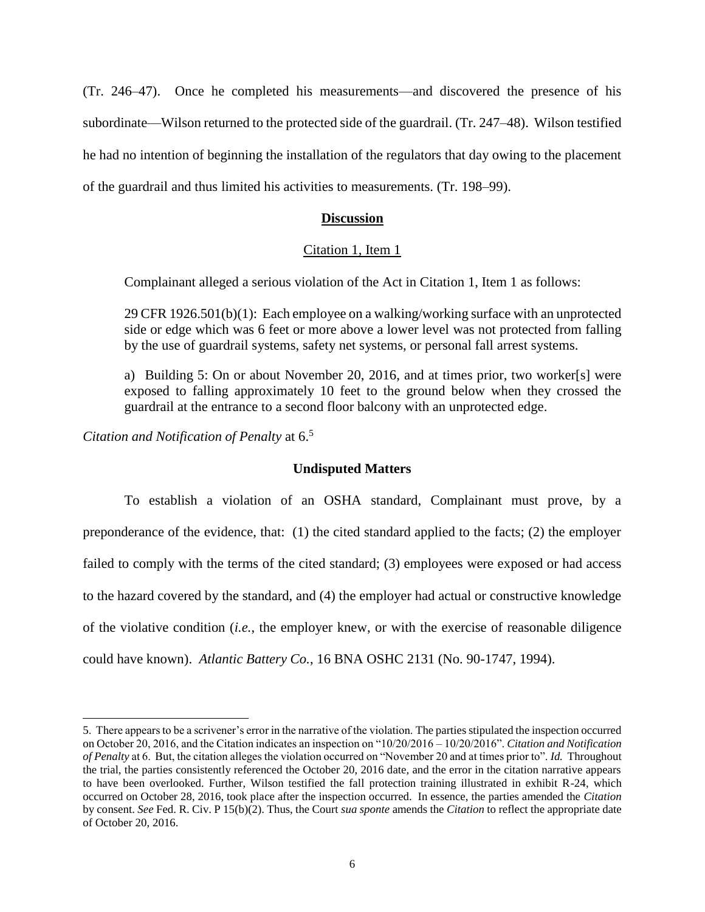(Tr. 246–47). Once he completed his measurements—and discovered the presence of his subordinate—Wilson returned to the protected side of the guardrail. (Tr. 247–48). Wilson testified he had no intention of beginning the installation of the regulators that day owing to the placement of the guardrail and thus limited his activities to measurements. (Tr. 198–99).

# **Discussion**

# Citation 1, Item 1

Complainant alleged a serious violation of the Act in Citation 1, Item 1 as follows:

29 CFR 1926.501(b)(1): Each employee on a walking/working surface with an unprotected side or edge which was 6 feet or more above a lower level was not protected from falling by the use of guardrail systems, safety net systems, or personal fall arrest systems.

a) Building 5: On or about November 20, 2016, and at times prior, two worker[s] were exposed to falling approximately 10 feet to the ground below when they crossed the guardrail at the entrance to a second floor balcony with an unprotected edge.

*Citation and Notification of Penalty* at 6. 5

 $\overline{a}$ 

## **Undisputed Matters**

To establish a violation of an OSHA standard, Complainant must prove, by a preponderance of the evidence, that: (1) the cited standard applied to the facts; (2) the employer failed to comply with the terms of the cited standard; (3) employees were exposed or had access to the hazard covered by the standard, and (4) the employer had actual or constructive knowledge of the violative condition (*i.e.*, the employer knew, or with the exercise of reasonable diligence could have known). *Atlantic Battery Co.*, 16 BNA OSHC 2131 (No. 90-1747, 1994).

<sup>5.</sup> There appears to be a scrivener's error in the narrative of the violation. The parties stipulated the inspection occurred on October 20, 2016, and the Citation indicates an inspection on "10/20/2016 – 10/20/2016". *Citation and Notification of Penalty* at 6. But, the citation alleges the violation occurred on "November 20 and at times prior to". *Id.* Throughout the trial, the parties consistently referenced the October 20, 2016 date, and the error in the citation narrative appears to have been overlooked. Further, Wilson testified the fall protection training illustrated in exhibit R-24, which occurred on October 28, 2016, took place after the inspection occurred. In essence, the parties amended the *Citation*  by consent. *See* Fed. R. Civ. P 15(b)(2). Thus, the Court *sua sponte* amends the *Citation* to reflect the appropriate date of October 20, 2016.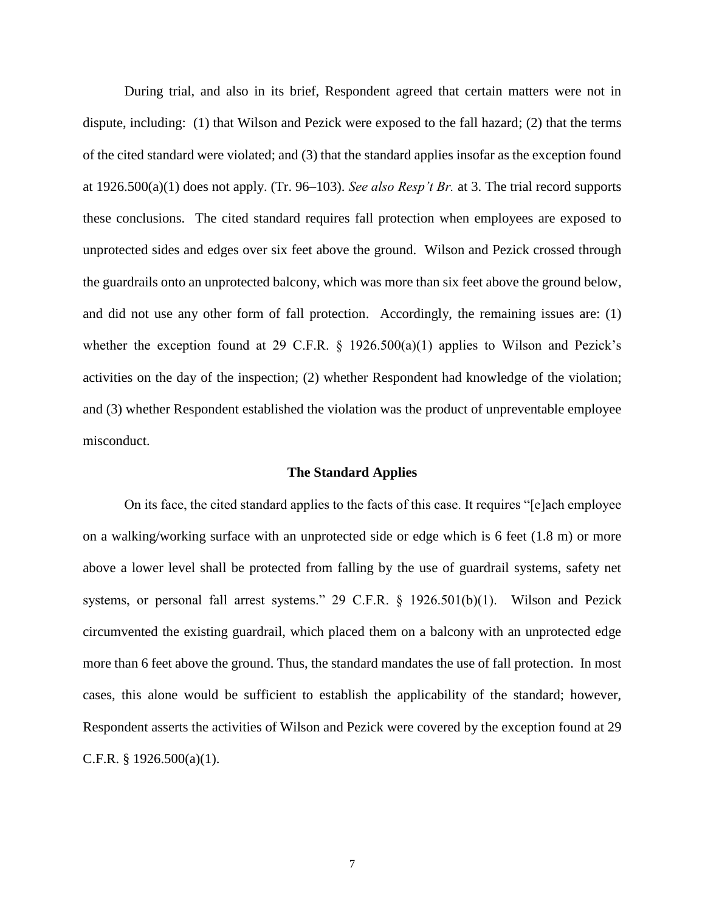During trial, and also in its brief, Respondent agreed that certain matters were not in dispute, including: (1) that Wilson and Pezick were exposed to the fall hazard; (2) that the terms of the cited standard were violated; and (3) that the standard applies insofar as the exception found at 1926.500(a)(1) does not apply. (Tr. 96–103). *See also Resp't Br.* at 3. The trial record supports these conclusions. The cited standard requires fall protection when employees are exposed to unprotected sides and edges over six feet above the ground. Wilson and Pezick crossed through the guardrails onto an unprotected balcony, which was more than six feet above the ground below, and did not use any other form of fall protection. Accordingly, the remaining issues are: (1) whether the exception found at 29 C.F.R.  $\S$  1926.500(a)(1) applies to Wilson and Pezick's activities on the day of the inspection; (2) whether Respondent had knowledge of the violation; and (3) whether Respondent established the violation was the product of unpreventable employee misconduct.

### **The Standard Applies**

On its face, the cited standard applies to the facts of this case. It requires "[e]ach employee on a walking/working surface with an unprotected side or edge which is 6 feet (1.8 m) or more above a lower level shall be protected from falling by the use of guardrail systems, safety net systems, or personal fall arrest systems." 29 C.F.R. § 1926.501(b)(1). Wilson and Pezick circumvented the existing guardrail, which placed them on a balcony with an unprotected edge more than 6 feet above the ground. Thus, the standard mandates the use of fall protection. In most cases, this alone would be sufficient to establish the applicability of the standard; however, Respondent asserts the activities of Wilson and Pezick were covered by the exception found at 29 C.F.R.  $§$  1926.500(a)(1).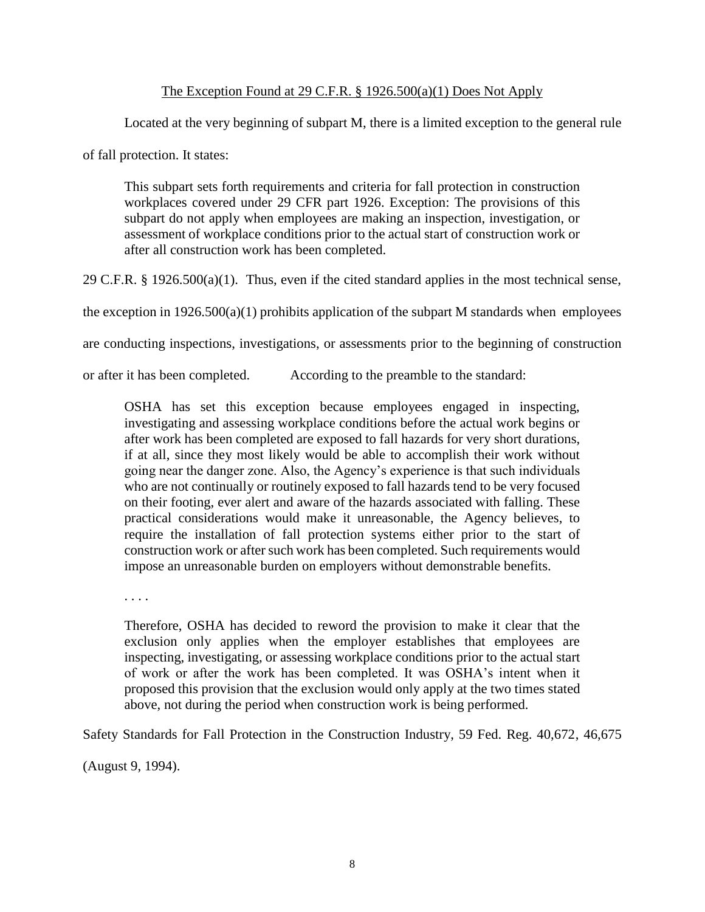# The Exception Found at 29 C.F.R. § 1926.500(a)(1) Does Not Apply

Located at the very beginning of subpart M, there is a limited exception to the general rule

of fall protection. It states:

This subpart sets forth requirements and criteria for fall protection in construction workplaces covered under 29 CFR part 1926. Exception: The provisions of this subpart do not apply when employees are making an inspection, investigation, or assessment of workplace conditions prior to the actual start of construction work or after all construction work has been completed.

29 C.F.R. § 1926.500(a)(1). Thus, even if the cited standard applies in the most technical sense,

the exception in  $1926.500(a)(1)$  prohibits application of the subpart M standards when employees

are conducting inspections, investigations, or assessments prior to the beginning of construction

or after it has been completed. According to the preamble to the standard:

OSHA has set this exception because employees engaged in inspecting, investigating and assessing workplace conditions before the actual work begins or after work has been completed are exposed to fall hazards for very short durations, if at all, since they most likely would be able to accomplish their work without going near the danger zone. Also, the Agency's experience is that such individuals who are not continually or routinely exposed to fall hazards tend to be very focused on their footing, ever alert and aware of the hazards associated with falling. These practical considerations would make it unreasonable, the Agency believes, to require the installation of fall protection systems either prior to the start of construction work or after such work has been completed. Such requirements would impose an unreasonable burden on employers without demonstrable benefits.

. . . .

Therefore, OSHA has decided to reword the provision to make it clear that the exclusion only applies when the employer establishes that employees are inspecting, investigating, or assessing workplace conditions prior to the actual start of work or after the work has been completed. It was OSHA's intent when it proposed this provision that the exclusion would only apply at the two times stated above, not during the period when construction work is being performed.

Safety Standards for Fall Protection in the Construction Industry, 59 Fed. Reg. 40,672, 46,675

(August 9, 1994).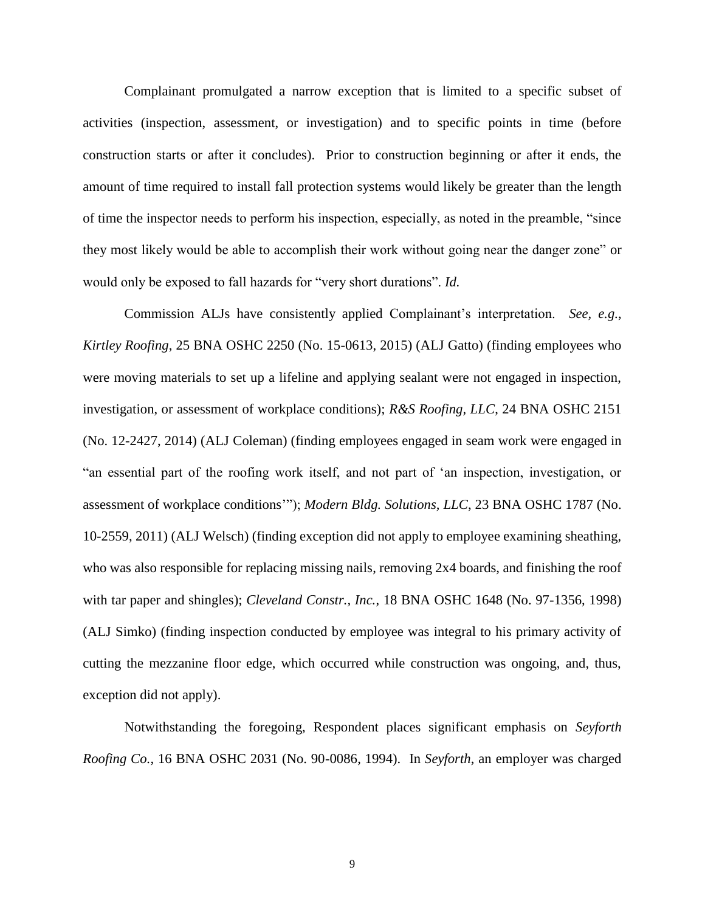Complainant promulgated a narrow exception that is limited to a specific subset of activities (inspection, assessment, or investigation) and to specific points in time (before construction starts or after it concludes). Prior to construction beginning or after it ends, the amount of time required to install fall protection systems would likely be greater than the length of time the inspector needs to perform his inspection, especially, as noted in the preamble, "since they most likely would be able to accomplish their work without going near the danger zone" or would only be exposed to fall hazards for "very short durations". *Id.*

Commission ALJs have consistently applied Complainant's interpretation. *See, e.g.*, *Kirtley Roofing*, 25 BNA OSHC 2250 (No. 15-0613, 2015) (ALJ Gatto) (finding employees who were moving materials to set up a lifeline and applying sealant were not engaged in inspection, investigation, or assessment of workplace conditions); *R&S Roofing, LLC*, 24 BNA OSHC 2151 (No. 12-2427, 2014) (ALJ Coleman) (finding employees engaged in seam work were engaged in "an essential part of the roofing work itself, and not part of 'an inspection, investigation, or assessment of workplace conditions'"); *Modern Bldg. Solutions, LLC*, 23 BNA OSHC 1787 (No. 10-2559, 2011) (ALJ Welsch) (finding exception did not apply to employee examining sheathing, who was also responsible for replacing missing nails, removing  $2x4$  boards, and finishing the roof with tar paper and shingles); *Cleveland Constr., Inc.*, 18 BNA OSHC 1648 (No. 97-1356, 1998) (ALJ Simko) (finding inspection conducted by employee was integral to his primary activity of cutting the mezzanine floor edge, which occurred while construction was ongoing, and, thus, exception did not apply).

Notwithstanding the foregoing, Respondent places significant emphasis on *Seyforth Roofing Co.*, 16 BNA OSHC 2031 (No. 90-0086, 1994). In *Seyforth*, an employer was charged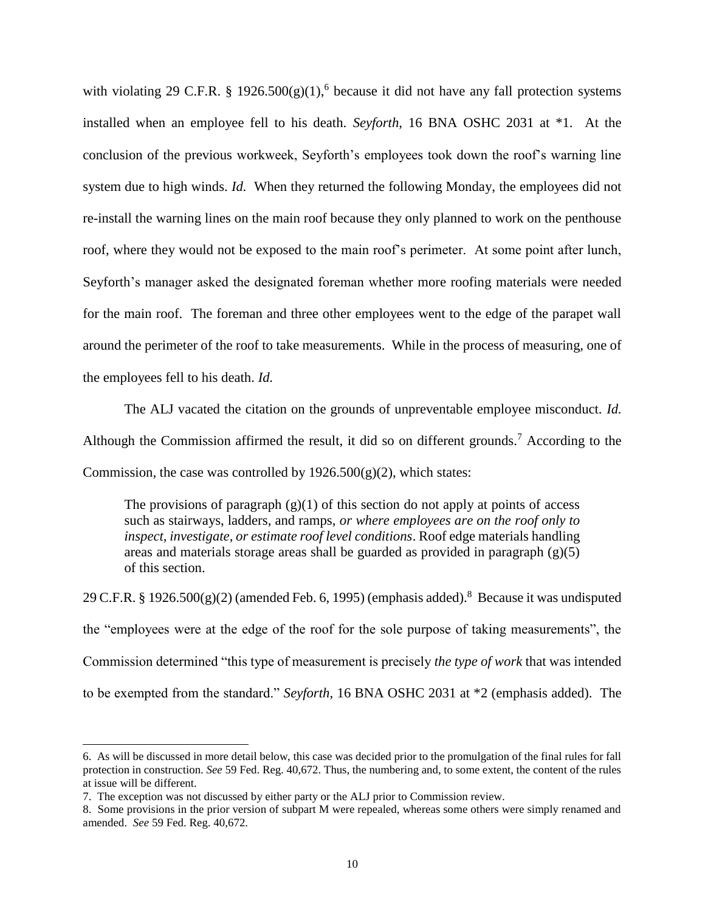with violating 29 C.F.R. §  $1926.500(g)(1)$ , <sup>6</sup> because it did not have any fall protection systems installed when an employee fell to his death. *Seyforth*, 16 BNA OSHC 2031 at \*1. At the conclusion of the previous workweek, Seyforth's employees took down the roof's warning line system due to high winds. *Id.* When they returned the following Monday, the employees did not re-install the warning lines on the main roof because they only planned to work on the penthouse roof, where they would not be exposed to the main roof's perimeter. At some point after lunch, Seyforth's manager asked the designated foreman whether more roofing materials were needed for the main roof. The foreman and three other employees went to the edge of the parapet wall around the perimeter of the roof to take measurements. While in the process of measuring, one of the employees fell to his death. *Id.*

The ALJ vacated the citation on the grounds of unpreventable employee misconduct. *Id.* Although the Commission affirmed the result, it did so on different grounds.<sup>7</sup> According to the Commission, the case was controlled by  $1926.500(g)(2)$ , which states:

The provisions of paragraph  $(g)(1)$  of this section do not apply at points of access such as stairways, ladders, and ramps, *or where employees are on the roof only to inspect, investigate, or estimate roof level conditions*. Roof edge materials handling areas and materials storage areas shall be guarded as provided in paragraph (g)(5) of this section.

29 C.F.R. § 1926.500 $(g)(2)$  (amended Feb. 6, 1995) (emphasis added).<sup>8</sup> Because it was undisputed the "employees were at the edge of the roof for the sole purpose of taking measurements", the Commission determined "this type of measurement is precisely *the type of work* that was intended to be exempted from the standard." *Seyforth*, 16 BNA OSHC 2031 at \*2 (emphasis added). The

<sup>6.</sup> As will be discussed in more detail below, this case was decided prior to the promulgation of the final rules for fall protection in construction. *See* 59 Fed. Reg. 40,672. Thus, the numbering and, to some extent, the content of the rules at issue will be different.

<sup>7.</sup> The exception was not discussed by either party or the ALJ prior to Commission review.

<sup>8.</sup> Some provisions in the prior version of subpart M were repealed, whereas some others were simply renamed and amended. *See* 59 Fed. Reg. 40,672.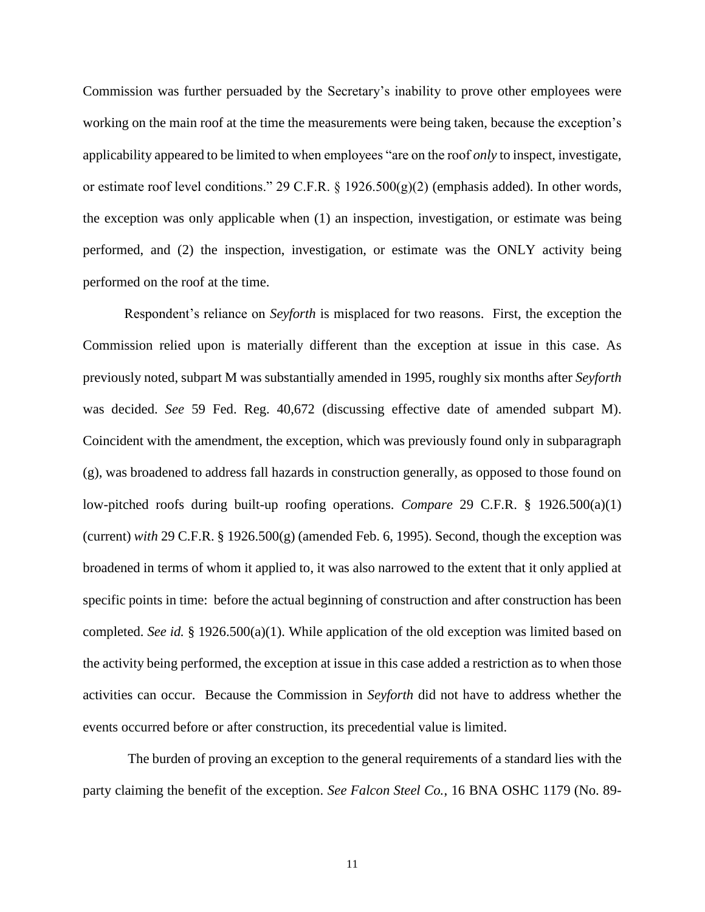Commission was further persuaded by the Secretary's inability to prove other employees were working on the main roof at the time the measurements were being taken, because the exception's applicability appeared to be limited to when employees "are on the roof *only* to inspect, investigate, or estimate roof level conditions." 29 C.F.R. § 1926.500(g)(2) (emphasis added). In other words, the exception was only applicable when (1) an inspection, investigation, or estimate was being performed, and (2) the inspection, investigation, or estimate was the ONLY activity being performed on the roof at the time.

Respondent's reliance on *Seyforth* is misplaced for two reasons. First, the exception the Commission relied upon is materially different than the exception at issue in this case. As previously noted, subpart M was substantially amended in 1995, roughly six months after *Seyforth* was decided. *See* 59 Fed. Reg. 40,672 (discussing effective date of amended subpart M). Coincident with the amendment, the exception, which was previously found only in subparagraph (g), was broadened to address fall hazards in construction generally, as opposed to those found on low-pitched roofs during built-up roofing operations. *Compare* 29 C.F.R. § 1926.500(a)(1) (current) *with* 29 C.F.R. § 1926.500(g) (amended Feb. 6, 1995). Second, though the exception was broadened in terms of whom it applied to, it was also narrowed to the extent that it only applied at specific points in time: before the actual beginning of construction and after construction has been completed. *See id.* § 1926.500(a)(1). While application of the old exception was limited based on the activity being performed, the exception at issue in this case added a restriction as to when those activities can occur. Because the Commission in *Seyforth* did not have to address whether the events occurred before or after construction, its precedential value is limited.

The burden of proving an exception to the general requirements of a standard lies with the party claiming the benefit of the exception. *See Falcon Steel Co.*, 16 BNA OSHC 1179 (No. 89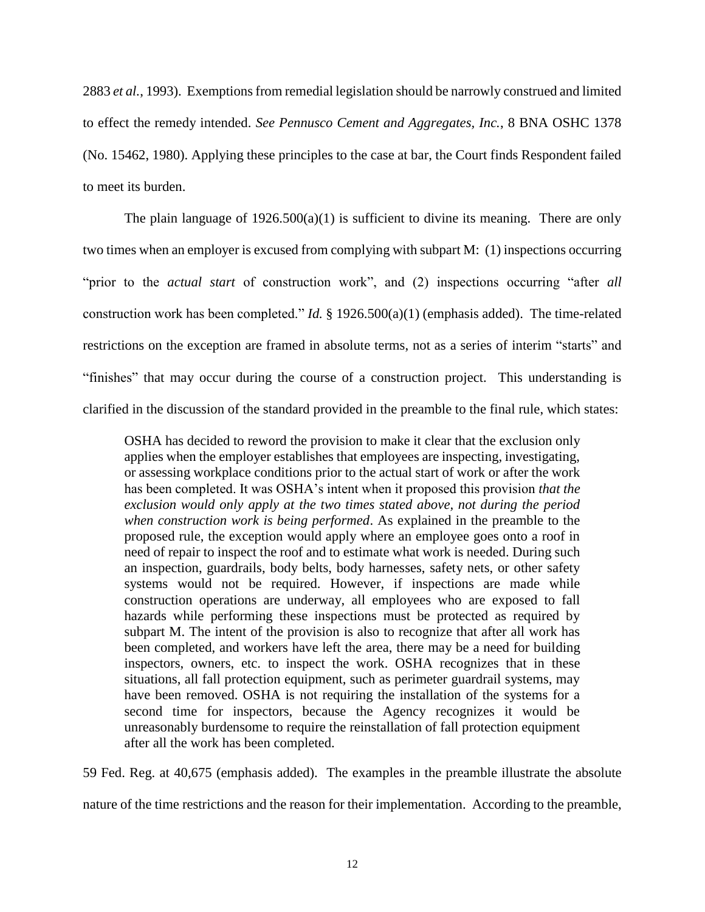2883 *et al.*, 1993). Exemptions from remedial legislation should be narrowly construed and limited to effect the remedy intended. *See Pennusco Cement and Aggregates, Inc.*, 8 BNA OSHC 1378 (No. 15462, 1980). Applying these principles to the case at bar, the Court finds Respondent failed to meet its burden.

The plain language of  $1926.500(a)(1)$  is sufficient to divine its meaning. There are only two times when an employer is excused from complying with subpart M: (1) inspections occurring "prior to the *actual start* of construction work", and (2) inspections occurring "after *all* construction work has been completed." *Id.* § 1926.500(a)(1) (emphasis added). The time-related restrictions on the exception are framed in absolute terms, not as a series of interim "starts" and "finishes" that may occur during the course of a construction project. This understanding is clarified in the discussion of the standard provided in the preamble to the final rule, which states:

OSHA has decided to reword the provision to make it clear that the exclusion only applies when the employer establishes that employees are inspecting, investigating, or assessing workplace conditions prior to the actual start of work or after the work has been completed. It was OSHA's intent when it proposed this provision *that the exclusion would only apply at the two times stated above, not during the period when construction work is being performed*. As explained in the preamble to the proposed rule, the exception would apply where an employee goes onto a roof in need of repair to inspect the roof and to estimate what work is needed. During such an inspection, guardrails, body belts, body harnesses, safety nets, or other safety systems would not be required. However, if inspections are made while construction operations are underway, all employees who are exposed to fall hazards while performing these inspections must be protected as required by subpart M. The intent of the provision is also to recognize that after all work has been completed, and workers have left the area, there may be a need for building inspectors, owners, etc. to inspect the work. OSHA recognizes that in these situations, all fall protection equipment, such as perimeter guardrail systems, may have been removed. OSHA is not requiring the installation of the systems for a second time for inspectors, because the Agency recognizes it would be unreasonably burdensome to require the reinstallation of fall protection equipment after all the work has been completed.

59 Fed. Reg. at 40,675 (emphasis added). The examples in the preamble illustrate the absolute

nature of the time restrictions and the reason for their implementation. According to the preamble,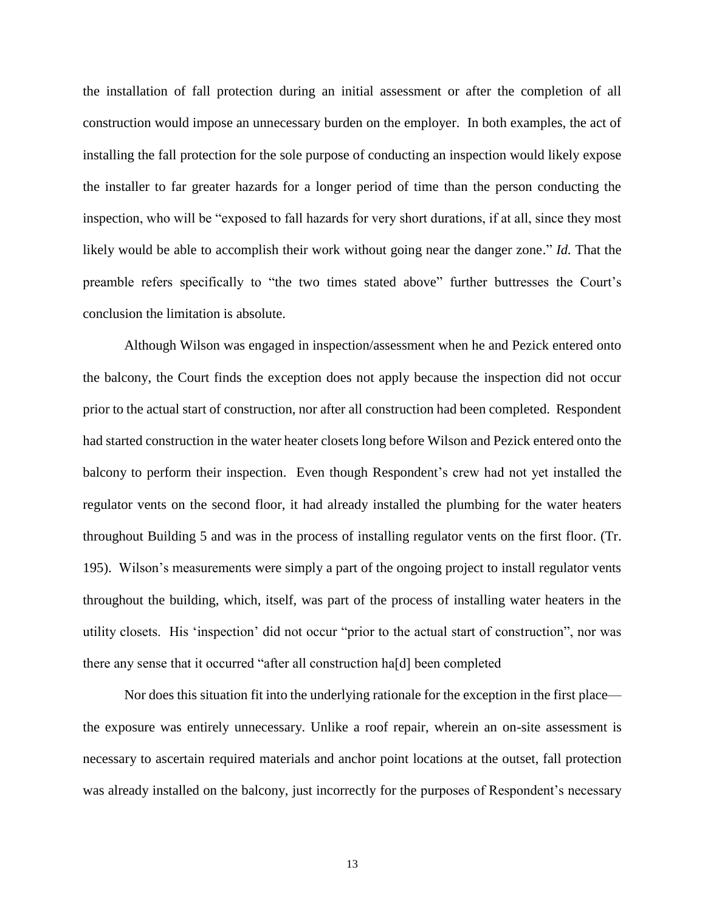the installation of fall protection during an initial assessment or after the completion of all construction would impose an unnecessary burden on the employer. In both examples, the act of installing the fall protection for the sole purpose of conducting an inspection would likely expose the installer to far greater hazards for a longer period of time than the person conducting the inspection, who will be "exposed to fall hazards for very short durations, if at all, since they most likely would be able to accomplish their work without going near the danger zone." *Id.* That the preamble refers specifically to "the two times stated above" further buttresses the Court's conclusion the limitation is absolute.

Although Wilson was engaged in inspection/assessment when he and Pezick entered onto the balcony, the Court finds the exception does not apply because the inspection did not occur prior to the actual start of construction, nor after all construction had been completed. Respondent had started construction in the water heater closets long before Wilson and Pezick entered onto the balcony to perform their inspection. Even though Respondent's crew had not yet installed the regulator vents on the second floor, it had already installed the plumbing for the water heaters throughout Building 5 and was in the process of installing regulator vents on the first floor. (Tr. 195). Wilson's measurements were simply a part of the ongoing project to install regulator vents throughout the building, which, itself, was part of the process of installing water heaters in the utility closets. His 'inspection' did not occur "prior to the actual start of construction", nor was there any sense that it occurred "after all construction ha[d] been completed

Nor does this situation fit into the underlying rationale for the exception in the first place the exposure was entirely unnecessary. Unlike a roof repair, wherein an on-site assessment is necessary to ascertain required materials and anchor point locations at the outset, fall protection was already installed on the balcony, just incorrectly for the purposes of Respondent's necessary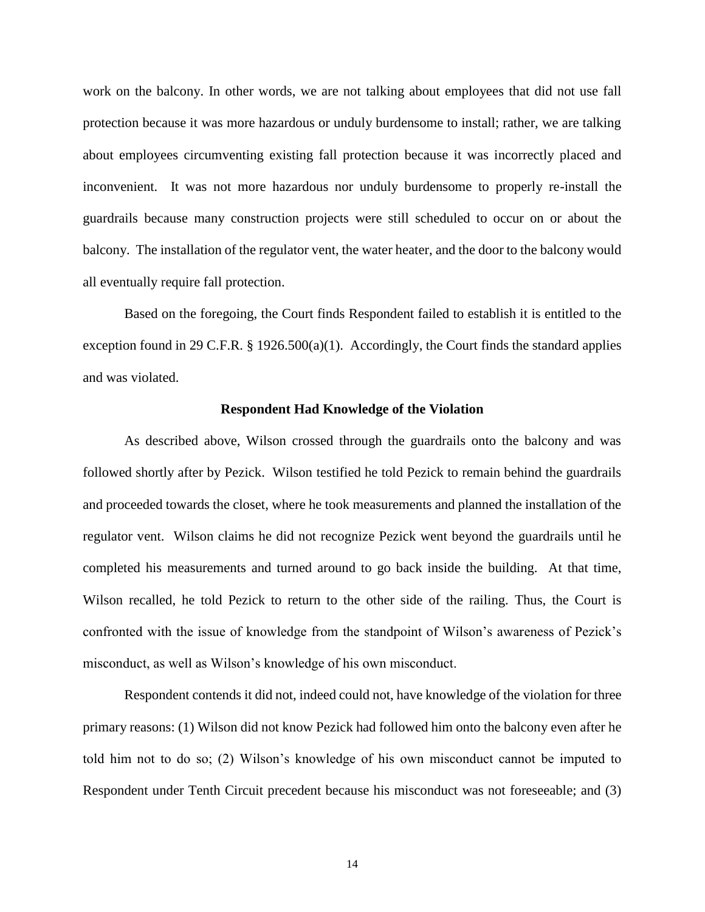work on the balcony. In other words, we are not talking about employees that did not use fall protection because it was more hazardous or unduly burdensome to install; rather, we are talking about employees circumventing existing fall protection because it was incorrectly placed and inconvenient. It was not more hazardous nor unduly burdensome to properly re-install the guardrails because many construction projects were still scheduled to occur on or about the balcony. The installation of the regulator vent, the water heater, and the door to the balcony would all eventually require fall protection.

Based on the foregoing, the Court finds Respondent failed to establish it is entitled to the exception found in 29 C.F.R.  $\S$  1926.500(a)(1). Accordingly, the Court finds the standard applies and was violated.

### **Respondent Had Knowledge of the Violation**

As described above, Wilson crossed through the guardrails onto the balcony and was followed shortly after by Pezick. Wilson testified he told Pezick to remain behind the guardrails and proceeded towards the closet, where he took measurements and planned the installation of the regulator vent. Wilson claims he did not recognize Pezick went beyond the guardrails until he completed his measurements and turned around to go back inside the building. At that time, Wilson recalled, he told Pezick to return to the other side of the railing. Thus, the Court is confronted with the issue of knowledge from the standpoint of Wilson's awareness of Pezick's misconduct, as well as Wilson's knowledge of his own misconduct.

Respondent contends it did not, indeed could not, have knowledge of the violation for three primary reasons: (1) Wilson did not know Pezick had followed him onto the balcony even after he told him not to do so; (2) Wilson's knowledge of his own misconduct cannot be imputed to Respondent under Tenth Circuit precedent because his misconduct was not foreseeable; and (3)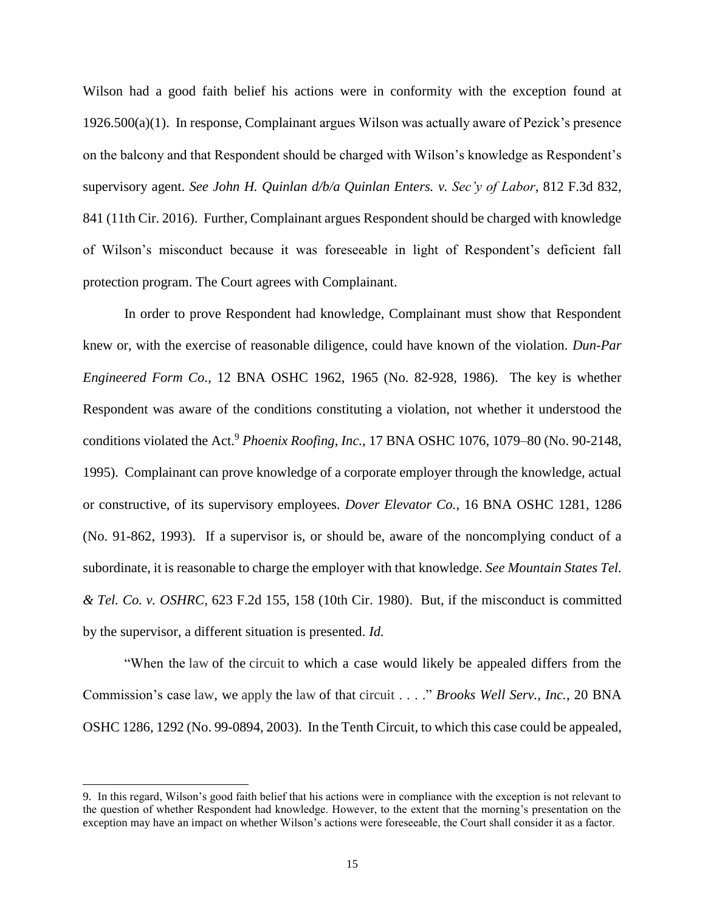Wilson had a good faith belief his actions were in conformity with the exception found at 1926.500(a)(1). In response, Complainant argues Wilson was actually aware of Pezick's presence on the balcony and that Respondent should be charged with Wilson's knowledge as Respondent's supervisory agent. *See John H. Quinlan d/b/a Quinlan Enters. v. Sec'y of Labor*, 812 F.3d 832, 841 (11th Cir. 2016). Further, Complainant argues Respondent should be charged with knowledge of Wilson's misconduct because it was foreseeable in light of Respondent's deficient fall protection program. The Court agrees with Complainant.

In order to prove Respondent had knowledge, Complainant must show that Respondent knew or, with the exercise of reasonable diligence, could have known of the violation. *Dun-Par Engineered Form Co.*, 12 BNA OSHC 1962, 1965 (No. 82-928, 1986). The key is whether Respondent was aware of the conditions constituting a violation, not whether it understood the conditions violated the Act.<sup>9</sup> *Phoenix Roofing, Inc.*, 17 BNA OSHC 1076, 1079–80 (No. 90-2148, 1995). Complainant can prove knowledge of a corporate employer through the knowledge, actual or constructive, of its supervisory employees. *Dover Elevator Co.*, 16 BNA OSHC 1281, 1286 (No. 91-862, 1993). If a supervisor is, or should be, aware of the noncomplying conduct of a subordinate, it is reasonable to charge the employer with that knowledge. *See Mountain States Tel. & Tel. Co. v. OSHRC*, 623 F.2d 155, 158 (10th Cir. 1980). But, if the misconduct is committed by the supervisor, a different situation is presented. *Id.*

"When the law of the circuit to which a case would likely be appealed differs from the Commission's case law, we apply the law of that circuit . . . ." *Brooks Well Serv., Inc.*, 20 BNA OSHC 1286, 1292 (No. 99-0894, 2003). In the Tenth Circuit, to which this case could be appealed,

l

<sup>9.</sup> In this regard, Wilson's good faith belief that his actions were in compliance with the exception is not relevant to the question of whether Respondent had knowledge. However, to the extent that the morning's presentation on the exception may have an impact on whether Wilson's actions were foreseeable, the Court shall consider it as a factor.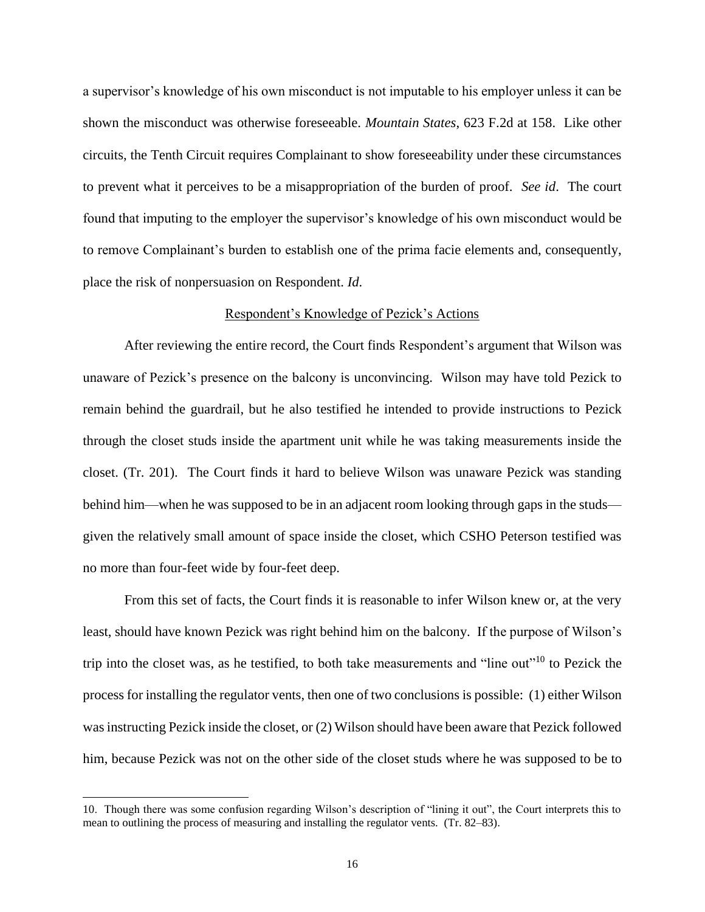a supervisor's knowledge of his own misconduct is not imputable to his employer unless it can be shown the misconduct was otherwise foreseeable. *Mountain States*, 623 F.2d at 158. Like other circuits, the Tenth Circuit requires Complainant to show foreseeability under these circumstances to prevent what it perceives to be a misappropriation of the burden of proof. *See id*. The court found that imputing to the employer the supervisor's knowledge of his own misconduct would be to remove Complainant's burden to establish one of the prima facie elements and, consequently, place the risk of nonpersuasion on Respondent. *Id.*

### Respondent's Knowledge of Pezick's Actions

After reviewing the entire record, the Court finds Respondent's argument that Wilson was unaware of Pezick's presence on the balcony is unconvincing. Wilson may have told Pezick to remain behind the guardrail, but he also testified he intended to provide instructions to Pezick through the closet studs inside the apartment unit while he was taking measurements inside the closet. (Tr. 201). The Court finds it hard to believe Wilson was unaware Pezick was standing behind him—when he was supposed to be in an adjacent room looking through gaps in the studs given the relatively small amount of space inside the closet, which CSHO Peterson testified was no more than four-feet wide by four-feet deep.

From this set of facts, the Court finds it is reasonable to infer Wilson knew or, at the very least, should have known Pezick was right behind him on the balcony. If the purpose of Wilson's trip into the closet was, as he testified, to both take measurements and "line out"<sup>10</sup> to Pezick the process for installing the regulator vents, then one of two conclusions is possible: (1) either Wilson was instructing Pezick inside the closet, or (2) Wilson should have been aware that Pezick followed him, because Pezick was not on the other side of the closet studs where he was supposed to be to

<sup>10.</sup> Though there was some confusion regarding Wilson's description of "lining it out", the Court interprets this to mean to outlining the process of measuring and installing the regulator vents. (Tr. 82–83).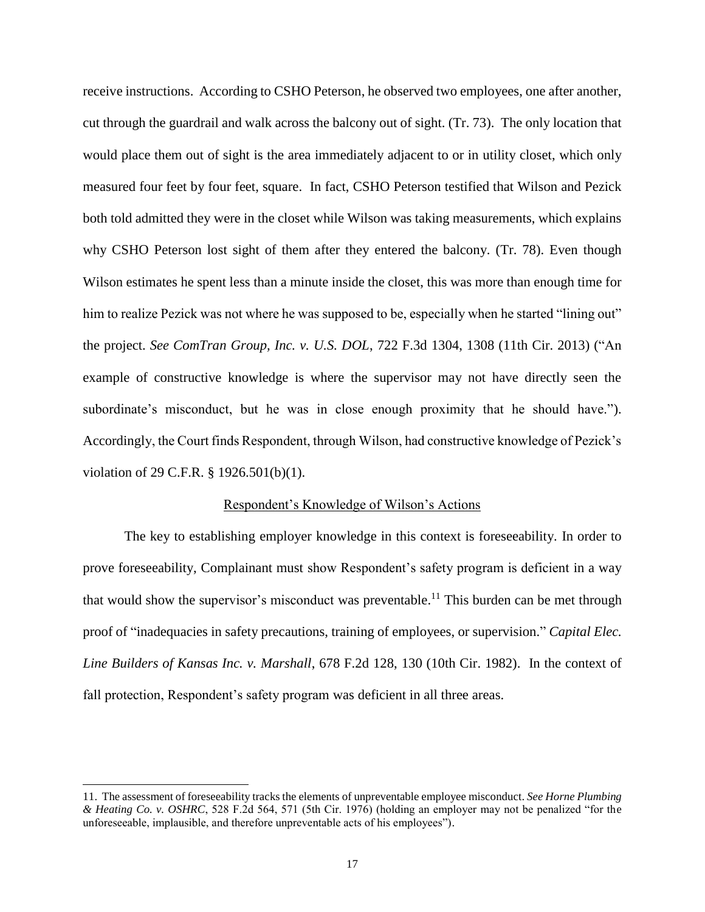receive instructions. According to CSHO Peterson, he observed two employees, one after another, cut through the guardrail and walk across the balcony out of sight. (Tr. 73). The only location that would place them out of sight is the area immediately adjacent to or in utility closet, which only measured four feet by four feet, square. In fact, CSHO Peterson testified that Wilson and Pezick both told admitted they were in the closet while Wilson was taking measurements, which explains why CSHO Peterson lost sight of them after they entered the balcony. (Tr. 78). Even though Wilson estimates he spent less than a minute inside the closet, this was more than enough time for him to realize Pezick was not where he was supposed to be, especially when he started "lining out" the project. *See ComTran Group, Inc. v. U.S. DOL*, 722 F.3d 1304, 1308 (11th Cir. 2013) ("An example of constructive knowledge is where the supervisor may not have directly seen the subordinate's misconduct, but he was in close enough proximity that he should have."). Accordingly, the Court finds Respondent, through Wilson, had constructive knowledge of Pezick's violation of 29 C.F.R. § 1926.501(b)(1).

#### Respondent's Knowledge of Wilson's Actions

The key to establishing employer knowledge in this context is foreseeability. In order to prove foreseeability, Complainant must show Respondent's safety program is deficient in a way that would show the supervisor's misconduct was preventable.<sup>11</sup> This burden can be met through proof of "inadequacies in safety precautions, training of employees, or supervision." *Capital Elec. Line Builders of Kansas Inc. v. Marshall*, 678 F.2d 128, 130 (10th Cir. 1982). In the context of fall protection, Respondent's safety program was deficient in all three areas.

l

<sup>11.</sup> The assessment of foreseeability tracks the elements of unpreventable employee misconduct. *See Horne Plumbing & Heating Co. v. OSHRC*, 528 F.2d 564, 571 (5th Cir. 1976) (holding an employer may not be penalized "for the unforeseeable, implausible, and therefore unpreventable acts of his employees").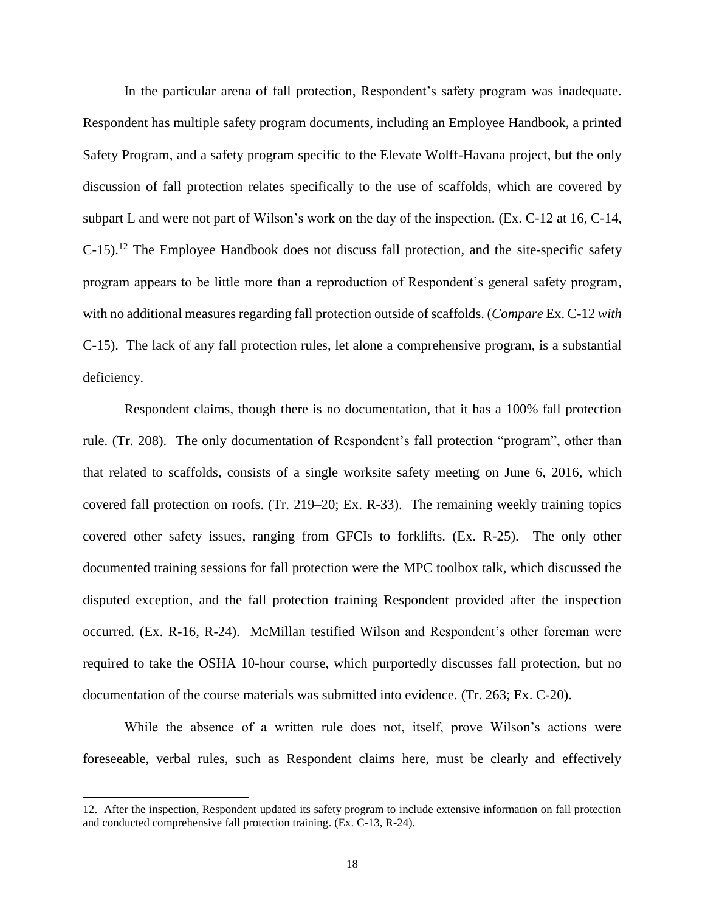In the particular arena of fall protection, Respondent's safety program was inadequate. Respondent has multiple safety program documents, including an Employee Handbook, a printed Safety Program, and a safety program specific to the Elevate Wolff-Havana project, but the only discussion of fall protection relates specifically to the use of scaffolds, which are covered by subpart L and were not part of Wilson's work on the day of the inspection. (Ex. C-12 at 16, C-14,  $C$ -15).<sup>12</sup> The Employee Handbook does not discuss fall protection, and the site-specific safety program appears to be little more than a reproduction of Respondent's general safety program, with no additional measures regarding fall protection outside of scaffolds. (*Compare* Ex. C-12 *with* C-15). The lack of any fall protection rules, let alone a comprehensive program, is a substantial deficiency.

Respondent claims, though there is no documentation, that it has a 100% fall protection rule. (Tr. 208). The only documentation of Respondent's fall protection "program", other than that related to scaffolds, consists of a single worksite safety meeting on June 6, 2016, which covered fall protection on roofs. (Tr. 219–20; Ex. R-33). The remaining weekly training topics covered other safety issues, ranging from GFCIs to forklifts. (Ex. R-25). The only other documented training sessions for fall protection were the MPC toolbox talk, which discussed the disputed exception, and the fall protection training Respondent provided after the inspection occurred. (Ex. R-16, R-24). McMillan testified Wilson and Respondent's other foreman were required to take the OSHA 10-hour course, which purportedly discusses fall protection, but no documentation of the course materials was submitted into evidence. (Tr. 263; Ex. C-20).

While the absence of a written rule does not, itself, prove Wilson's actions were foreseeable, verbal rules, such as Respondent claims here, must be clearly and effectively

<sup>12.</sup> After the inspection, Respondent updated its safety program to include extensive information on fall protection and conducted comprehensive fall protection training. (Ex. C-13, R-24).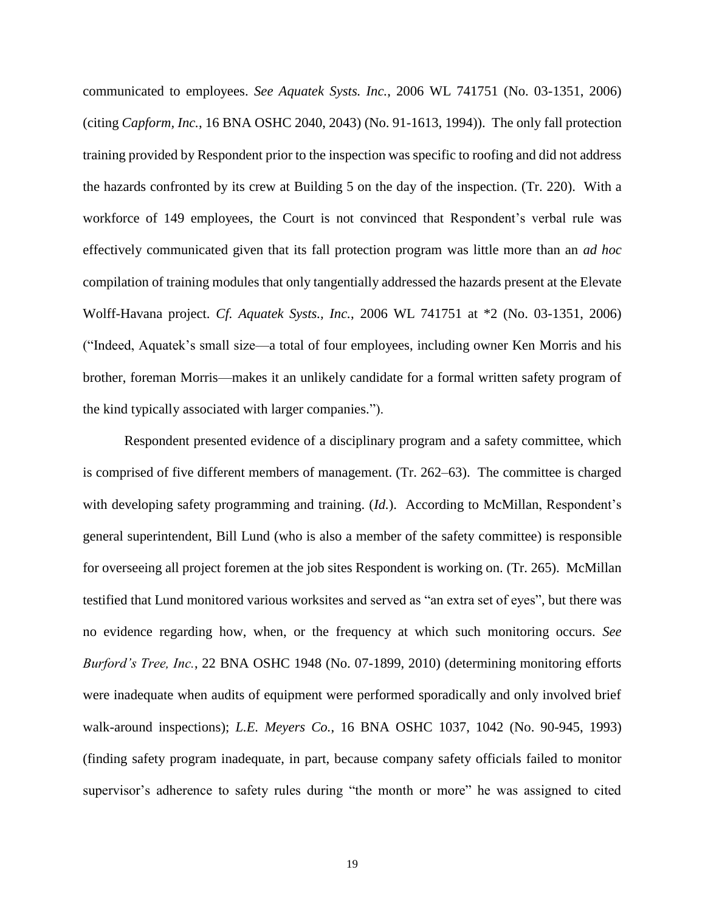communicated to employees. *See Aquatek Systs. Inc.*, 2006 WL 741751 (No. 03-1351, 2006) (citing *Capform, Inc.*, 16 BNA OSHC 2040, 2043) (No. 91-1613, 1994)). The only fall protection training provided by Respondent prior to the inspection was specific to roofing and did not address the hazards confronted by its crew at Building 5 on the day of the inspection. (Tr. 220). With a workforce of 149 employees, the Court is not convinced that Respondent's verbal rule was effectively communicated given that its fall protection program was little more than an *ad hoc* compilation of training modules that only tangentially addressed the hazards present at the Elevate Wolff-Havana project. *Cf. Aquatek Systs., Inc.*, 2006 WL 741751 at \*2 (No. 03-1351, 2006) ("Indeed, Aquatek's small size—a total of four employees, including owner Ken Morris and his brother, foreman Morris—makes it an unlikely candidate for a formal written safety program of the kind typically associated with larger companies.").

Respondent presented evidence of a disciplinary program and a safety committee, which is comprised of five different members of management. (Tr. 262–63). The committee is charged with developing safety programming and training. *(Id.)*. According to McMillan, Respondent's general superintendent, Bill Lund (who is also a member of the safety committee) is responsible for overseeing all project foremen at the job sites Respondent is working on. (Tr. 265). McMillan testified that Lund monitored various worksites and served as "an extra set of eyes", but there was no evidence regarding how, when, or the frequency at which such monitoring occurs. *See Burford's Tree, Inc.*, 22 BNA OSHC 1948 (No. 07-1899, 2010) (determining monitoring efforts were inadequate when audits of equipment were performed sporadically and only involved brief walk-around inspections); *L.E. Meyers Co.*, 16 BNA OSHC 1037, 1042 (No. 90-945, 1993) (finding safety program inadequate, in part, because company safety officials failed to monitor supervisor's adherence to safety rules during "the month or more" he was assigned to cited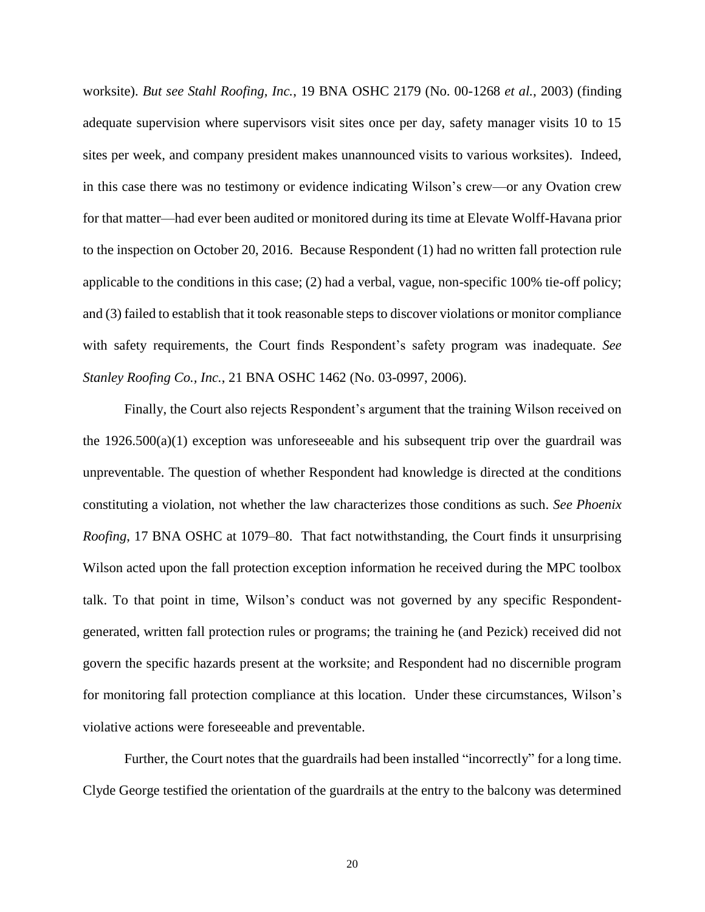worksite). *But see Stahl Roofing, Inc.*, 19 BNA OSHC 2179 (No. 00-1268 *et al.*, 2003) (finding adequate supervision where supervisors visit sites once per day, safety manager visits 10 to 15 sites per week, and company president makes unannounced visits to various worksites). Indeed, in this case there was no testimony or evidence indicating Wilson's crew—or any Ovation crew for that matter—had ever been audited or monitored during its time at Elevate Wolff-Havana prior to the inspection on October 20, 2016. Because Respondent (1) had no written fall protection rule applicable to the conditions in this case; (2) had a verbal, vague, non-specific 100% tie-off policy; and (3) failed to establish that it took reasonable steps to discover violations or monitor compliance with safety requirements, the Court finds Respondent's safety program was inadequate. *See Stanley Roofing Co., Inc.*, 21 BNA OSHC 1462 (No. 03-0997, 2006).

Finally, the Court also rejects Respondent's argument that the training Wilson received on the  $1926.500(a)(1)$  exception was unforeseeable and his subsequent trip over the guardrail was unpreventable. The question of whether Respondent had knowledge is directed at the conditions constituting a violation, not whether the law characterizes those conditions as such. *See Phoenix Roofing*, 17 BNA OSHC at 1079–80. That fact notwithstanding, the Court finds it unsurprising Wilson acted upon the fall protection exception information he received during the MPC toolbox talk. To that point in time, Wilson's conduct was not governed by any specific Respondentgenerated, written fall protection rules or programs; the training he (and Pezick) received did not govern the specific hazards present at the worksite; and Respondent had no discernible program for monitoring fall protection compliance at this location. Under these circumstances, Wilson's violative actions were foreseeable and preventable.

Further, the Court notes that the guardrails had been installed "incorrectly" for a long time. Clyde George testified the orientation of the guardrails at the entry to the balcony was determined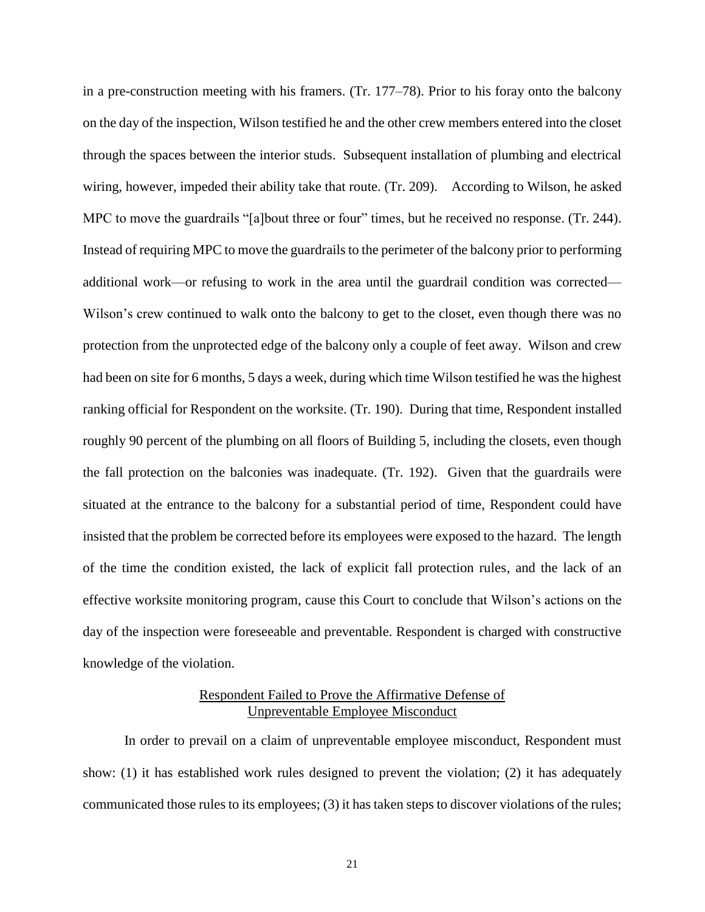in a pre-construction meeting with his framers. (Tr. 177–78). Prior to his foray onto the balcony on the day of the inspection, Wilson testified he and the other crew members entered into the closet through the spaces between the interior studs. Subsequent installation of plumbing and electrical wiring, however, impeded their ability take that route. (Tr. 209). According to Wilson, he asked MPC to move the guardrails "[a]bout three or four" times, but he received no response. (Tr. 244). Instead of requiring MPC to move the guardrails to the perimeter of the balcony prior to performing additional work—or refusing to work in the area until the guardrail condition was corrected— Wilson's crew continued to walk onto the balcony to get to the closet, even though there was no protection from the unprotected edge of the balcony only a couple of feet away. Wilson and crew had been on site for 6 months, 5 days a week, during which time Wilson testified he was the highest ranking official for Respondent on the worksite. (Tr. 190). During that time, Respondent installed roughly 90 percent of the plumbing on all floors of Building 5, including the closets, even though the fall protection on the balconies was inadequate. (Tr. 192). Given that the guardrails were situated at the entrance to the balcony for a substantial period of time, Respondent could have insisted that the problem be corrected before its employees were exposed to the hazard. The length of the time the condition existed, the lack of explicit fall protection rules, and the lack of an effective worksite monitoring program, cause this Court to conclude that Wilson's actions on the day of the inspection were foreseeable and preventable. Respondent is charged with constructive knowledge of the violation.

# Respondent Failed to Prove the Affirmative Defense of Unpreventable Employee Misconduct

In order to prevail on a claim of unpreventable employee misconduct, Respondent must show: (1) it has established work rules designed to prevent the violation; (2) it has adequately communicated those rules to its employees; (3) it has taken steps to discover violations of the rules;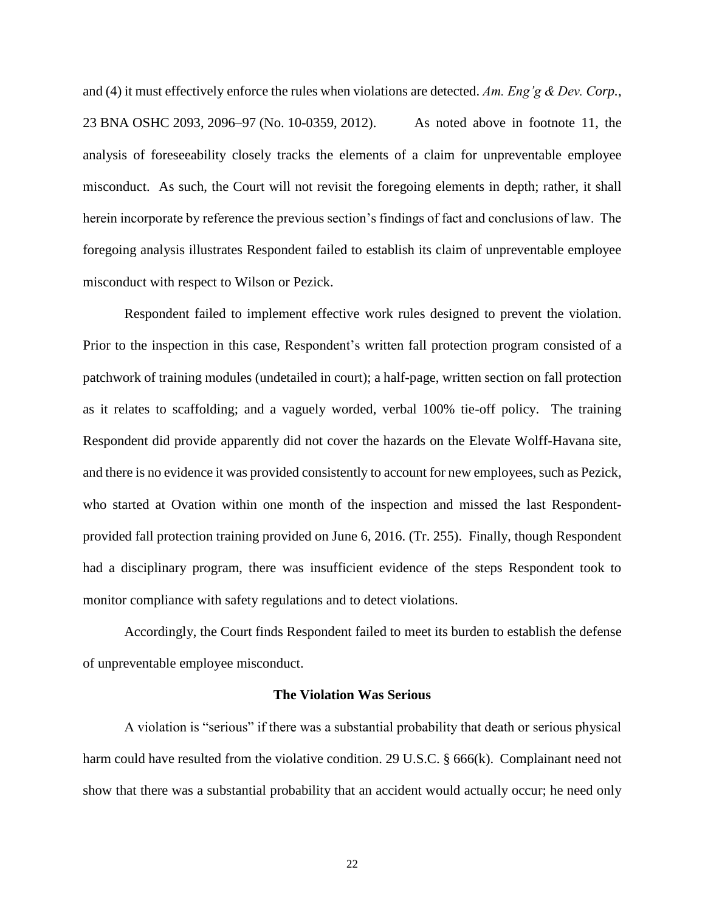and (4) it must effectively enforce the rules when violations are detected. *Am. Eng'g & Dev. Corp.*, 23 BNA OSHC 2093, 2096–97 (No. 10-0359, 2012). As noted above in footnote 11, the analysis of foreseeability closely tracks the elements of a claim for unpreventable employee misconduct. As such, the Court will not revisit the foregoing elements in depth; rather, it shall herein incorporate by reference the previous section's findings of fact and conclusions of law. The foregoing analysis illustrates Respondent failed to establish its claim of unpreventable employee misconduct with respect to Wilson or Pezick.

Respondent failed to implement effective work rules designed to prevent the violation. Prior to the inspection in this case, Respondent's written fall protection program consisted of a patchwork of training modules (undetailed in court); a half-page, written section on fall protection as it relates to scaffolding; and a vaguely worded, verbal 100% tie-off policy. The training Respondent did provide apparently did not cover the hazards on the Elevate Wolff-Havana site, and there is no evidence it was provided consistently to account for new employees, such as Pezick, who started at Ovation within one month of the inspection and missed the last Respondentprovided fall protection training provided on June 6, 2016. (Tr. 255). Finally, though Respondent had a disciplinary program, there was insufficient evidence of the steps Respondent took to monitor compliance with safety regulations and to detect violations.

Accordingly, the Court finds Respondent failed to meet its burden to establish the defense of unpreventable employee misconduct.

#### **The Violation Was Serious**

A violation is "serious" if there was a substantial probability that death or serious physical harm could have resulted from the violative condition. 29 U.S.C. § 666(k). Complainant need not show that there was a substantial probability that an accident would actually occur; he need only

22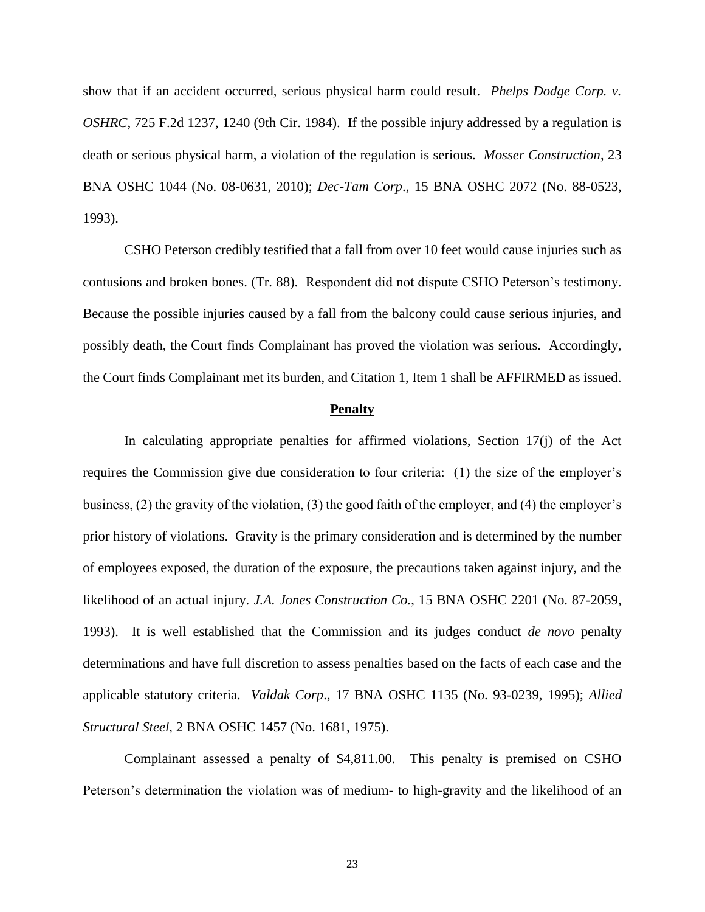show that if an accident occurred, serious physical harm could result. *Phelps Dodge Corp. v. OSHRC*, 725 F.2d 1237, 1240 (9th Cir. 1984). If the possible injury addressed by a regulation is death or serious physical harm, a violation of the regulation is serious. *Mosser Construction*, 23 BNA OSHC 1044 (No. 08-0631, 2010); *Dec-Tam Corp*., 15 BNA OSHC 2072 (No. 88-0523, 1993).

CSHO Peterson credibly testified that a fall from over 10 feet would cause injuries such as contusions and broken bones. (Tr. 88). Respondent did not dispute CSHO Peterson's testimony. Because the possible injuries caused by a fall from the balcony could cause serious injuries, and possibly death, the Court finds Complainant has proved the violation was serious. Accordingly, the Court finds Complainant met its burden, and Citation 1, Item 1 shall be AFFIRMED as issued.

#### **Penalty**

In calculating appropriate penalties for affirmed violations, Section 17(j) of the Act requires the Commission give due consideration to four criteria: (1) the size of the employer's business, (2) the gravity of the violation, (3) the good faith of the employer, and (4) the employer's prior history of violations. Gravity is the primary consideration and is determined by the number of employees exposed, the duration of the exposure, the precautions taken against injury, and the likelihood of an actual injury. *J.A. Jones Construction Co.*, 15 BNA OSHC 2201 (No. 87-2059, 1993). It is well established that the Commission and its judges conduct *de novo* penalty determinations and have full discretion to assess penalties based on the facts of each case and the applicable statutory criteria. *Valdak Corp*., 17 BNA OSHC 1135 (No. 93-0239, 1995); *Allied Structural Steel*, 2 BNA OSHC 1457 (No. 1681, 1975).

Complainant assessed a penalty of \$4,811.00. This penalty is premised on CSHO Peterson's determination the violation was of medium- to high-gravity and the likelihood of an